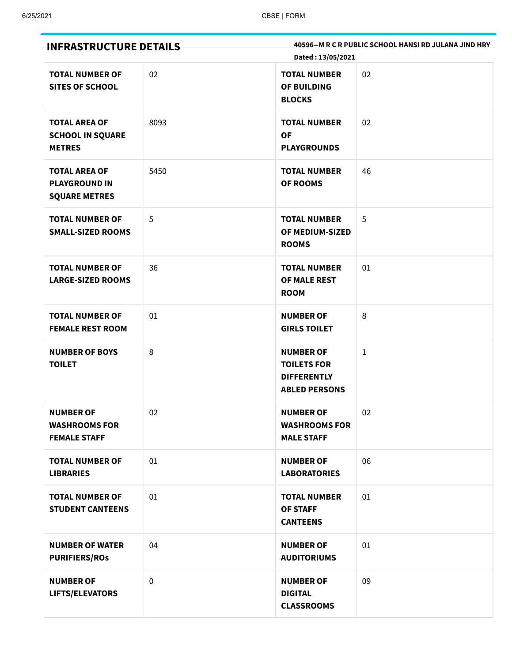| <b>INFRASTRUCTURE DETAILS</b>                                        |             | 40596--M R C R PUBLIC SCHOOL HANSI RD JULANA JIND HRY<br>Dated: 13/05/2021           |    |
|----------------------------------------------------------------------|-------------|--------------------------------------------------------------------------------------|----|
| <b>TOTAL NUMBER OF</b><br><b>SITES OF SCHOOL</b>                     | 02          | <b>TOTAL NUMBER</b><br><b>OF BUILDING</b><br><b>BLOCKS</b>                           | 02 |
| <b>TOTAL AREA OF</b><br><b>SCHOOL IN SQUARE</b><br><b>METRES</b>     | 8093        | <b>TOTAL NUMBER</b><br><b>OF</b><br><b>PLAYGROUNDS</b>                               | 02 |
| <b>TOTAL AREA OF</b><br><b>PLAYGROUND IN</b><br><b>SQUARE METRES</b> | 5450        | <b>TOTAL NUMBER</b><br><b>OF ROOMS</b>                                               | 46 |
| <b>TOTAL NUMBER OF</b><br><b>SMALL-SIZED ROOMS</b>                   | 5           | <b>TOTAL NUMBER</b><br>OF MEDIUM-SIZED<br><b>ROOMS</b>                               | 5  |
| <b>TOTAL NUMBER OF</b><br><b>LARGE-SIZED ROOMS</b>                   | 36          | <b>TOTAL NUMBER</b><br>OF MALE REST<br><b>ROOM</b>                                   | 01 |
| <b>TOTAL NUMBER OF</b><br><b>FEMALE REST ROOM</b>                    | 01          | <b>NUMBER OF</b><br><b>GIRLS TOILET</b>                                              | 8  |
| <b>NUMBER OF BOYS</b><br><b>TOILET</b>                               | 8           | <b>NUMBER OF</b><br><b>TOILETS FOR</b><br><b>DIFFERENTLY</b><br><b>ABLED PERSONS</b> | 1  |
| <b>NUMBER OF</b><br><b>WASHROOMS FOR</b><br><b>FEMALE STAFF</b>      | 02          | <b>NUMBER OF</b><br><b>WASHROOMS FOR</b><br><b>MALE STAFF</b>                        | 02 |
| <b>TOTAL NUMBER OF</b><br><b>LIBRARIES</b>                           | 01          | <b>NUMBER OF</b><br><b>LABORATORIES</b>                                              | 06 |
| <b>TOTAL NUMBER OF</b><br><b>STUDENT CANTEENS</b>                    | 01          | <b>TOTAL NUMBER</b><br><b>OF STAFF</b><br><b>CANTEENS</b>                            | 01 |
| <b>NUMBER OF WATER</b><br><b>PURIFIERS/ROS</b>                       | 04          | <b>NUMBER OF</b><br><b>AUDITORIUMS</b>                                               | 01 |
| <b>NUMBER OF</b><br>LIFTS/ELEVATORS                                  | $\mathbf 0$ | <b>NUMBER OF</b><br><b>DIGITAL</b><br><b>CLASSROOMS</b>                              | 09 |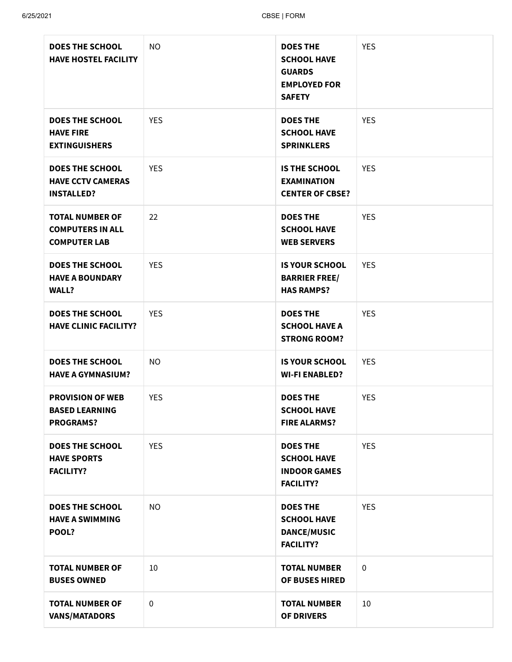| <b>DOES THE SCHOOL</b><br><b>HAVE HOSTEL FACILITY</b>                    | <b>NO</b>   | <b>DOES THE</b><br><b>SCHOOL HAVE</b><br><b>GUARDS</b><br><b>EMPLOYED FOR</b><br><b>SAFETY</b> | <b>YES</b> |
|--------------------------------------------------------------------------|-------------|------------------------------------------------------------------------------------------------|------------|
| <b>DOES THE SCHOOL</b><br><b>HAVE FIRE</b><br><b>EXTINGUISHERS</b>       | <b>YES</b>  | <b>DOES THE</b><br><b>SCHOOL HAVE</b><br><b>SPRINKLERS</b>                                     | <b>YES</b> |
| <b>DOES THE SCHOOL</b><br><b>HAVE CCTV CAMERAS</b><br><b>INSTALLED?</b>  | <b>YES</b>  | <b>IS THE SCHOOL</b><br><b>EXAMINATION</b><br><b>CENTER OF CBSE?</b>                           | <b>YES</b> |
| <b>TOTAL NUMBER OF</b><br><b>COMPUTERS IN ALL</b><br><b>COMPUTER LAB</b> | 22          | <b>DOES THE</b><br><b>SCHOOL HAVE</b><br><b>WEB SERVERS</b>                                    | <b>YES</b> |
| <b>DOES THE SCHOOL</b><br><b>HAVE A BOUNDARY</b><br><b>WALL?</b>         | <b>YES</b>  | <b>IS YOUR SCHOOL</b><br><b>BARRIER FREE/</b><br><b>HAS RAMPS?</b>                             | <b>YES</b> |
| <b>DOES THE SCHOOL</b><br><b>HAVE CLINIC FACILITY?</b>                   | <b>YES</b>  | <b>DOES THE</b><br><b>SCHOOL HAVE A</b><br><b>STRONG ROOM?</b>                                 | <b>YES</b> |
| <b>DOES THE SCHOOL</b><br><b>HAVE A GYMNASIUM?</b>                       | <b>NO</b>   | <b>IS YOUR SCHOOL</b><br><b>WI-FI ENABLED?</b>                                                 | <b>YES</b> |
| <b>PROVISION OF WEB</b><br><b>BASED LEARNING</b><br><b>PROGRAMS?</b>     | <b>YES</b>  | <b>DOES THE</b><br><b>SCHOOL HAVE</b><br><b>FIRE ALARMS?</b>                                   | <b>YES</b> |
| <b>DOES THE SCHOOL</b><br><b>HAVE SPORTS</b><br><b>FACILITY?</b>         | <b>YES</b>  | <b>DOES THE</b><br><b>SCHOOL HAVE</b><br><b>INDOOR GAMES</b><br><b>FACILITY?</b>               | <b>YES</b> |
| <b>DOES THE SCHOOL</b><br><b>HAVE A SWIMMING</b><br>POOL?                | <b>NO</b>   | <b>DOES THE</b><br><b>SCHOOL HAVE</b><br><b>DANCE/MUSIC</b><br><b>FACILITY?</b>                | <b>YES</b> |
| <b>TOTAL NUMBER OF</b><br><b>BUSES OWNED</b>                             | 10          | <b>TOTAL NUMBER</b><br>OF BUSES HIRED                                                          | 0          |
| <b>TOTAL NUMBER OF</b><br><b>VANS/MATADORS</b>                           | $\mathbf 0$ | <b>TOTAL NUMBER</b><br><b>OF DRIVERS</b>                                                       | 10         |